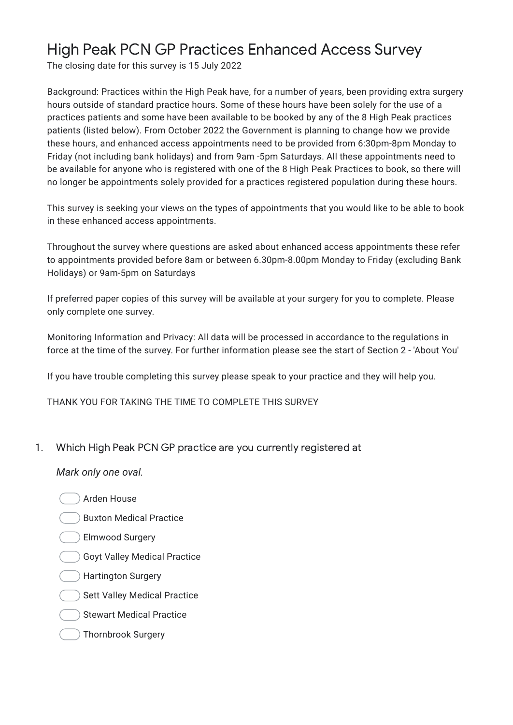## High Peak PCN GP Practices Enhanced Access Survey

The closing date for this survey is 15 July 2022

Background: Practices within the High Peak have, for a number of years, been providing extra surgery hours outside of standard practice hours. Some of these hours have been solely for the use of a practices patients and some have been available to be booked by any of the 8 High Peak practices patients (listed below). From October 2022 the Government is planning to change how we provide these hours, and enhanced access appointments need to be provided from 6:30pm-8pm Monday to Friday (not including bank holidays) and from 9am -5pm Saturdays. All these appointments need to be available for anyone who is registered with one of the 8 High Peak Practices to book, so there will no longer be appointments solely provided for a practices registered population during these hours.

This survey is seeking your views on the types of appointments that you would like to be able to book in these enhanced access appointments.

Throughout the survey where questions are asked about enhanced access appointments these refer to appointments provided before 8am or between 6.30pm-8.00pm Monday to Friday (excluding Bank Holidays) or 9am-5pm on Saturdays

If preferred paper copies of this survey will be available at your surgery for you to complete. Please only complete one survey.

Monitoring Information and Privacy: All data will be processed in accordance to the regulations in force at the time of the survey. For further information please see the start of Section 2 - 'About You'

If you have trouble completing this survey please speak to your practice and they will help you.

THANK YOU FOR TAKING THE TIME TO COMPLETE THIS SURVEY

1. Which High Peak PCN GP practice are you currently registered at

- Arden House
- Buxton Medical Practice
- Elmwood Surgery
- Goyt Valley Medical Practice
- Hartington Surgery
- Sett Valley Medical Practice
- Stewart Medical Practice
- Thornbrook Surgery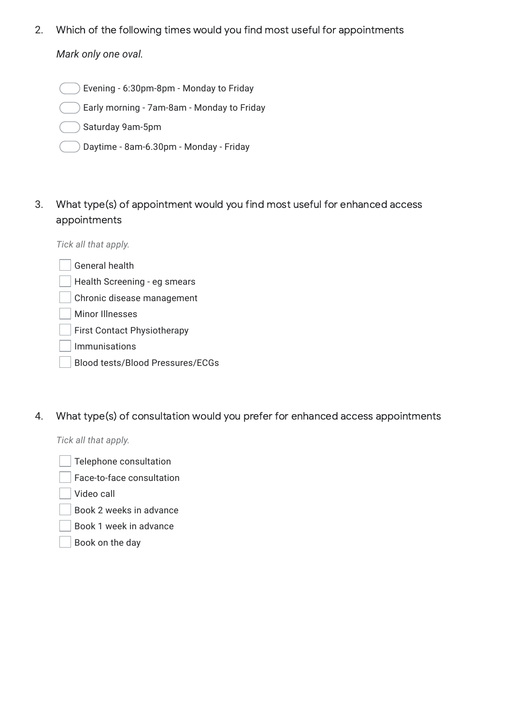2. *Mark only one oval.* Which of the following times would you find most useful for appointments

Evening - 6:30pm-8pm - Monday to Friday

Early morning - 7am-8am - Monday to Friday

Saturday 9am-5pm

- Daytime 8am-6.30pm Monday Friday
- 3. What type(s) of appointment would you find most useful for enhanced access appointments

*Tick all that apply.*

| General health |  |
|----------------|--|
|                |  |

Health Screening - eg smears

Chronic disease management

Minor Illnesses

First Contact Physiotherapy

Immunisations

- Blood tests/Blood Pressures/ECGs
- 4. What type(s) of consultation would you prefer for enhanced access appointments

*Tick all that apply.*

Telephone consultation

Face-to-face consultation

Video call

Book 2 weeks in advance

Book 1 week in advance

Book on the day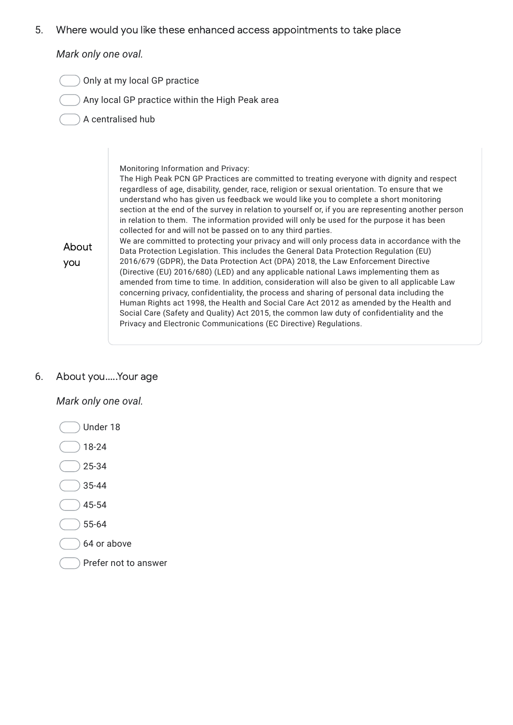5. Where would you like these enhanced access appointments to take place

*Mark only one oval.*

- Only at my local GP practice
	- $)$  Any local GP practice within the High Peak area
- A centralised hub

| About<br>you | Monitoring Information and Privacy:<br>The High Peak PCN GP Practices are committed to treating everyone with dignity and respect<br>regardless of age, disability, gender, race, religion or sexual orientation. To ensure that we<br>understand who has given us feedback we would like you to complete a short monitoring<br>section at the end of the survey in relation to yourself or, if you are representing another person<br>in relation to them. The information provided will only be used for the purpose it has been<br>collected for and will not be passed on to any third parties.<br>We are committed to protecting your privacy and will only process data in accordance with the<br>Data Protection Legislation. This includes the General Data Protection Regulation (EU)<br>2016/679 (GDPR), the Data Protection Act (DPA) 2018, the Law Enforcement Directive<br>(Directive (EU) 2016/680) (LED) and any applicable national Laws implementing them as<br>amended from time to time. In addition, consideration will also be given to all applicable Law<br>concerning privacy, confidentiality, the process and sharing of personal data including the<br>Human Rights act 1998, the Health and Social Care Act 2012 as amended by the Health and<br>Social Care (Safety and Quality) Act 2015, the common law duty of confidentiality and the<br>Privacy and Electronic Communications (EC Directive) Regulations. |
|--------------|---------------------------------------------------------------------------------------------------------------------------------------------------------------------------------------------------------------------------------------------------------------------------------------------------------------------------------------------------------------------------------------------------------------------------------------------------------------------------------------------------------------------------------------------------------------------------------------------------------------------------------------------------------------------------------------------------------------------------------------------------------------------------------------------------------------------------------------------------------------------------------------------------------------------------------------------------------------------------------------------------------------------------------------------------------------------------------------------------------------------------------------------------------------------------------------------------------------------------------------------------------------------------------------------------------------------------------------------------------------------------------------------------------------------------------------------|
|--------------|---------------------------------------------------------------------------------------------------------------------------------------------------------------------------------------------------------------------------------------------------------------------------------------------------------------------------------------------------------------------------------------------------------------------------------------------------------------------------------------------------------------------------------------------------------------------------------------------------------------------------------------------------------------------------------------------------------------------------------------------------------------------------------------------------------------------------------------------------------------------------------------------------------------------------------------------------------------------------------------------------------------------------------------------------------------------------------------------------------------------------------------------------------------------------------------------------------------------------------------------------------------------------------------------------------------------------------------------------------------------------------------------------------------------------------------------|

## 6. About you.....Your age

- Under 18  $)$  18-24  $25 - 34$  $35 - 44$  $(45 - 54)$  $\big) 55 - 64$ 64 or above
- 
- Prefer not to answer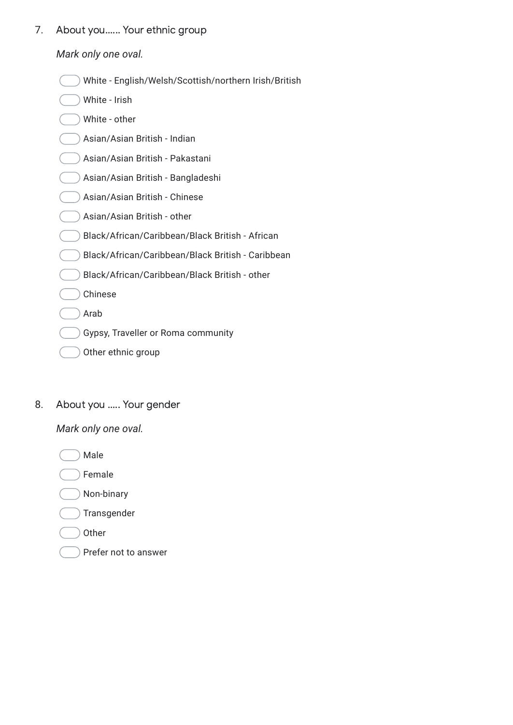7. About you...... Your ethnic group

*Mark only one oval.*

| ) White - English/Welsh/Scottish/northern Irish/British |
|---------------------------------------------------------|
|                                                         |

| White - Irish                                     |
|---------------------------------------------------|
| White - other                                     |
| Asian/Asian British - Indian                      |
| Asian/Asian British - Pakastani                   |
| Asian/Asian British - Bangladeshi                 |
| Asian/Asian British - Chinese                     |
| Asian/Asian British - other                       |
| Black/African/Caribbean/Black British - African   |
| Black/African/Caribbean/Black British - Caribbean |
| Black/African/Caribbean/Black British - other     |
| Chinese                                           |
| Arab                                              |
| Gypsy, Traveller or Roma community                |
| Other ethnic group                                |

8. About you ..... Your gender

*Mark only one oval.*

Male

Female

Non-binary

 $\big)$  Transgender

- Other
- Prefer not to answer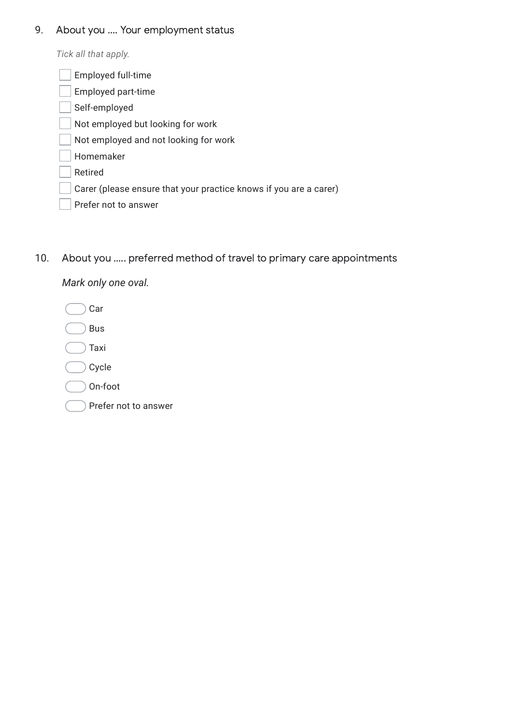## 9. About you .... Your employment status

*Tick all that apply.*

| <b>Employed full-time</b>                                         |
|-------------------------------------------------------------------|
| Employed part-time                                                |
| Self-employed                                                     |
| Not employed but looking for work                                 |
| Not employed and not looking for work                             |
| Homemaker                                                         |
| Retired                                                           |
| Carer (please ensure that your practice knows if you are a carer) |
| Prefer not to answer                                              |
|                                                                   |

10. About you ..... preferred method of travel to primary care appointments

| Car                  |
|----------------------|
| Bus                  |
| Taxi                 |
| Cycle                |
| On-foot              |
| Prefer not to answer |
|                      |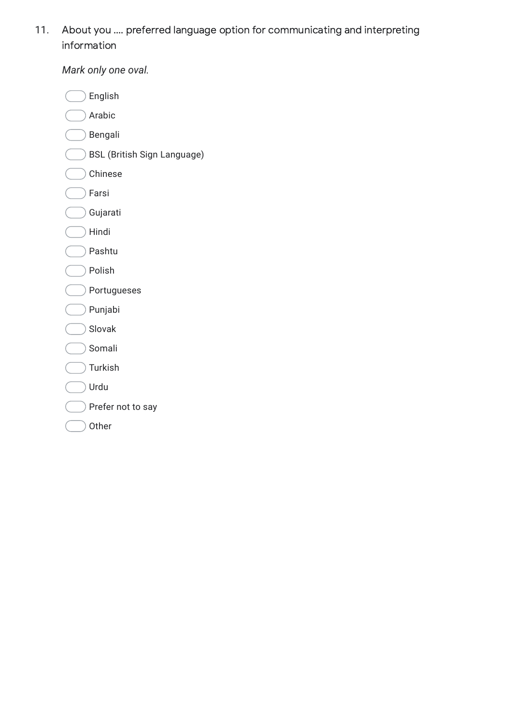11. About you .... preferred language option for communicating and interpreting information

| English                            |
|------------------------------------|
| Arabic                             |
| Bengali                            |
| <b>BSL (British Sign Language)</b> |
| Chinese                            |
| Farsi                              |
| Gujarati                           |
| Hindi                              |
| Pashtu                             |
| Polish                             |
| Portugueses                        |
| Punjabi                            |
| Slovak                             |
| Somali                             |
| Turkish                            |
| Urdu                               |
| Prefer not to say                  |
| Other                              |
|                                    |